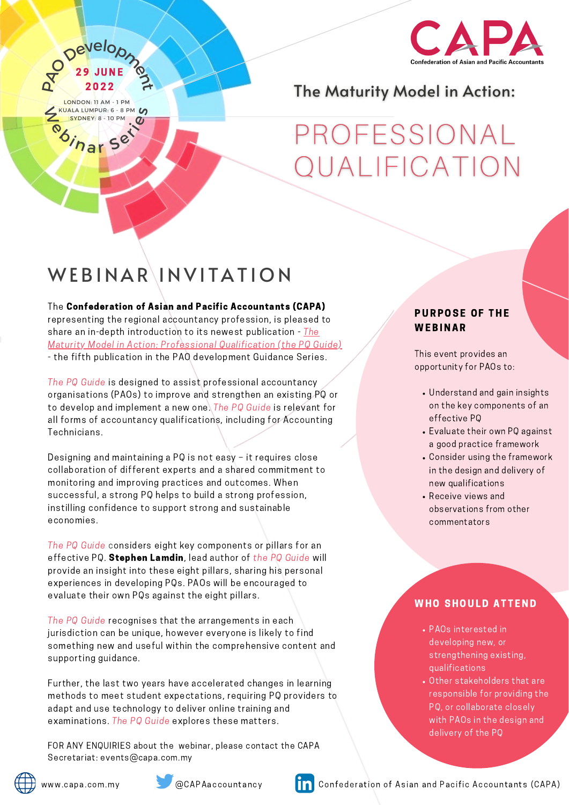

## The Maturity Model in Action:

# PROFESSIONAL OUALIFICATION

## WEBINAR INVITATION

Para Develop

**29 JUNE** 

The Confederation of Asian and Pacific Accountants (CAPA) representing the regional accountancy profession, is pleased to share an in-depth introduction to its newest publication - The Maturity Model in Action: Professional [Qualification](http://www.capa.com.my/capa-supports-the-case-for-a-strong-professional-qualification/) (the PQ Guide) - the fifth publication in the PAO development Guidance Series.

The PQ Guide is designed to assist professional accountancy organisations (PAOs) to improve and strengthen an existing PQ or to develop and implement a new one. The PQ Guide is relevant for all forms of accountancy qualifications, including for Accounting Iechnicians.

### PURPOSE OF THE **WEBINAR**

The PQ Guide considers eight key components or pillars for an effective PQ. Stephen Lamdin, lead author of the PQ Guide will provide an insight into these eight pillars, sharing his personal experiences in developing PQs. PAOs will be encouraged to evaluate their own PQs against the eight pillars.

The PQ Guide recognises that the arrangements in each jurisdiction can be unique, however everyone is likely to find something new and useful within the comprehensive content and supporting guidance.

Further, the last two years have accelerated changes in learning methods to meet student expectations, requiring PQ providers to adapt and use technology to deliver online training and examinations. The PQ Guide explores these matters.

Designing and maintaining a PQ is not easy – it requires close collaboration of different experts and a shared commitment to monitoring and improving practices and outcomes. When successful, a strong PQ helps to build a strong profession, instilling confidence to support strong and sustainable economies.

FOR ANY ENQUIRIES about the webinar, please contact the CAPA Secretariat: events@capa.com.my







- Understand and gain insights on the key components of an effective PQ
	-
- Evaluate their own PQ against a good practice framework
- Consider using the framework in the design and delivery of new qualifications
- Receive views and observations from other commentators

#### **WHO SHOULD ATTEND**

- PAOs interested in developing new, or strengthening existing, qualifications
- Other stakeholders that are responsible for providing the PQ, or collaborate closely with PAOs in the design and delivery of the PQ

www.capa.com.my @CAPAaccountancy Confederation of Asian and Pacific Accountants (CAPA)

This event provides an opportunity for PAOs to:

2 0 2 2

LONDON: 11 AM - 1 PM

SYDNEY: 8 - 10 PM

EXPALA LUMPUR: 6 - 8 PM